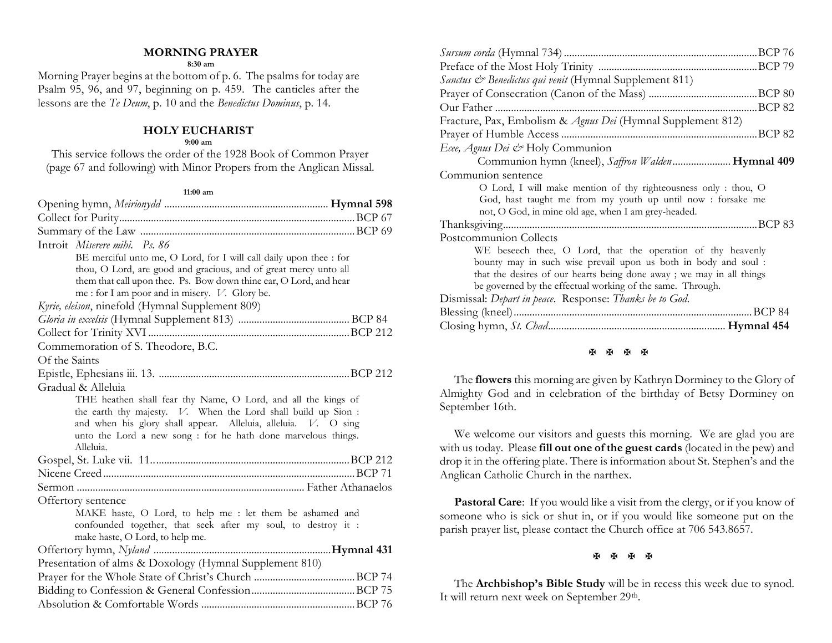## **MORNING PRAYER**

#### **8:30 am**

Morning Prayer begins at the bottom of p. 6. The psalms for today are Psalm 95, 96, and 97, beginning on p. 459. The canticles after the lessons are the *Te Deum*, p. 10 and the *Benedictus Dominus*, p. 14.

## **HOLY EUCHARIST**

#### **9:00 am**

This service follows the order of the 1928 Book of Common Prayer (page 67 and following) with Minor Propers from the Anglican Missal.

#### **11:00 am**

| Introit Miserere mihi. Ps. 86                                                                    |  |
|--------------------------------------------------------------------------------------------------|--|
| BE merciful unto me, O Lord, for I will call daily upon thee : for                               |  |
| thou, O Lord, are good and gracious, and of great mercy unto all                                 |  |
| them that call upon thee. Ps. Bow down thine ear, O Lord, and hear                               |  |
| me : for I am poor and in misery. V. Glory be.                                                   |  |
| Kyrie, eleison, ninefold (Hymnal Supplement 809)                                                 |  |
|                                                                                                  |  |
|                                                                                                  |  |
| Commemoration of S. Theodore, B.C.                                                               |  |
| Of the Saints                                                                                    |  |
|                                                                                                  |  |
| Gradual & Alleluia                                                                               |  |
| THE heathen shall fear thy Name, O Lord, and all the kings of                                    |  |
| the earth thy majesty. V. When the Lord shall build up Sion :                                    |  |
| and when his glory shall appear. Alleluia, alleluia. V. O sing                                   |  |
| unto the Lord a new song : for he hath done marvelous things.<br>Alleluia.                       |  |
|                                                                                                  |  |
|                                                                                                  |  |
|                                                                                                  |  |
|                                                                                                  |  |
| Offertory sentence                                                                               |  |
| MAKE haste, O Lord, to help me : let them be ashamed and                                         |  |
| confounded together, that seek after my soul, to destroy it :<br>make haste, O Lord, to help me. |  |
|                                                                                                  |  |
| Presentation of alms & Doxology (Hymnal Supplement 810)                                          |  |
|                                                                                                  |  |
|                                                                                                  |  |
|                                                                                                  |  |
|                                                                                                  |  |

| Sanctus & Benedictus qui venit (Hymnal Supplement 811)               |
|----------------------------------------------------------------------|
|                                                                      |
|                                                                      |
| Fracture, Pax, Embolism & Agnus Dei (Hymnal Supplement 812)          |
|                                                                      |
| Ecee, Agnus Dei & Holy Communion                                     |
| Communion hymn (kneel), Saffron Walden Hymnal 409                    |
| Communion sentence                                                   |
| O Lord, I will make mention of thy righteousness only: thou, O       |
| God, hast taught me from my youth up until now: forsake me           |
| not, O God, in mine old age, when I am grey-headed.                  |
|                                                                      |
| Postcommunion Collects                                               |
| WE beseech thee, O Lord, that the operation of thy heavenly          |
| bounty may in such wise prevail upon us both in body and soul :      |
| that the desires of our hearts being done away; we may in all things |
| be governed by the effectual working of the same. Through.           |
| Dismissal: Depart in peace. Response: Thanks be to God.              |
| .BCP 84                                                              |
|                                                                      |

## **H H H H**

The **flowers** this morning are given by Kathryn Dorminey to the Glory of Almighty God and in celebration of the birthday of Betsy Dorminey on September 16th.

We welcome our visitors and guests this morning. We are glad you are with us today. Please **fill out one of the guest cards** (located in the pew) and drop it in the offering plate. There is information about St. Stephen's and the Anglican Catholic Church in the narthex.

Pastoral Care: If you would like a visit from the clergy, or if you know of someone who is sick or shut in, or if you would like someone put on the parish prayer list, please contact the Church office at 706 543.8657.

### 

The **Archbishop's Bible Study** will be in recess this week due to synod. It will return next week on September 29<sup>th</sup>.